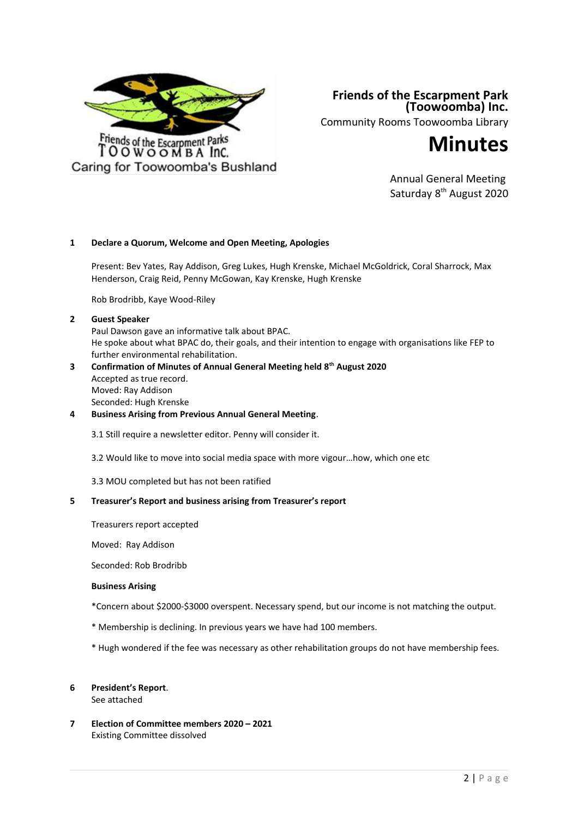

**Friends of the Escarpment Park (Toowoomba) Inc.** Community Rooms Toowoomba Library



Annual General Meeting Saturday 8<sup>th</sup> August 2020

## **1 Declare a Quorum, Welcome and Open Meeting, Apologies**

Present: Bev Yates, Ray Addison, Greg Lukes, Hugh Krenske, Michael McGoldrick, Coral Sharrock, Max Henderson, Craig Reid, Penny McGowan, Kay Krenske, Hugh Krenske

Rob Brodribb, Kaye Wood-Riley

#### **2 Guest Speaker**

Paul Dawson gave an informative talk about BPAC. He spoke about what BPAC do, their goals, and their intention to engage with organisations like FEP to further environmental rehabilitation. **3 Confirmation of Minutes of Annual General Meeting held 8th August 2020**

- Accepted as true record. Moved: Ray Addison Seconded: Hugh Krenske
- **4 Business Arising from Previous Annual General Meeting**.

3.1 Still require a newsletter editor. Penny will consider it.

- 3.2 Would like to move into social media space with more vigour…how, which one etc
- 3.3 MOU completed but has not been ratified

## **5 Treasurer's Report and business arising from Treasurer's report**

Treasurers report accepted

Moved: Ray Addison

Seconded: Rob Brodribb

## **Business Arising**

- \*Concern about \$2000-\$3000 overspent. Necessary spend, but our income is not matching the output.
- \* Membership is declining. In previous years we have had 100 members.
- \* Hugh wondered if the fee was necessary as other rehabilitation groups do not have membership fees.

# **6 President's Report**.

See attached

**7 Election of Committee members 2020 – 2021** Existing Committee dissolved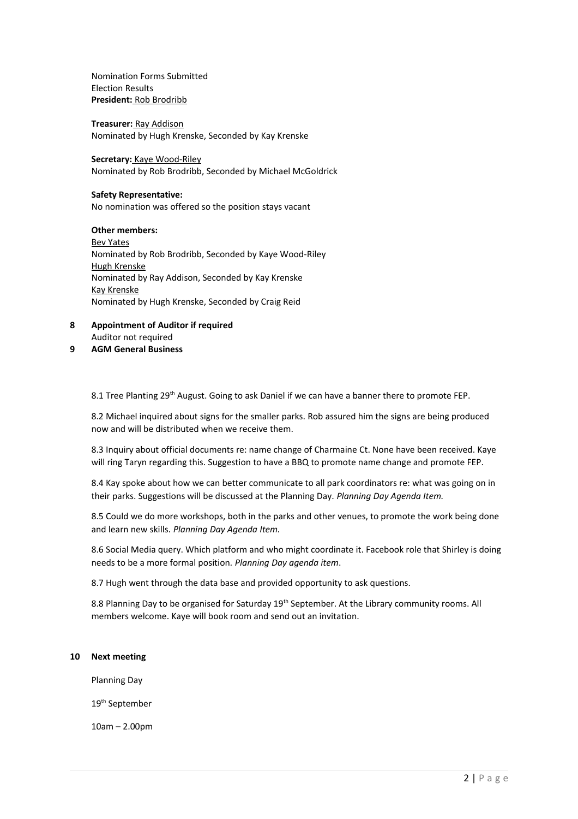Nomination Forms Submitted Election Results **President:** Rob Brodribb

**Treasurer:** Ray Addison Nominated by Hugh Krenske, Seconded by Kay Krenske

**Secretary:** Kaye Wood-Riley Nominated by Rob Brodribb, Seconded by Michael McGoldrick

#### **Safety Representative:**

No nomination was offered so the position stays vacant

## **Other members:**

Bev Yates Nominated by Rob Brodribb, Seconded by Kaye Wood-Riley Hugh Krenske Nominated by Ray Addison, Seconded by Kay Krenske Kay Krenske Nominated by Hugh Krenske, Seconded by Craig Reid

- **8 Appointment of Auditor if required** Auditor not required
- **9 AGM General Business**

8.1 Tree Planting 29<sup>th</sup> August. Going to ask Daniel if we can have a banner there to promote FEP.

8.2 Michael inquired about signs for the smaller parks. Rob assured him the signs are being produced now and will be distributed when we receive them.

8.3 Inquiry about official documents re: name change of Charmaine Ct. None have been received. Kaye will ring Taryn regarding this. Suggestion to have a BBQ to promote name change and promote FEP.

8.4 Kay spoke about how we can better communicate to all park coordinators re: what was going on in their parks. Suggestions will be discussed at the Planning Day. *Planning Day Agenda Item.*

8.5 Could we do more workshops, both in the parks and other venues, to promote the work being done and learn new skills*. Planning Day Agenda Item.*

8.6 Social Media query. Which platform and who might coordinate it. Facebook role that Shirley is doing needs to be a more formal position*. Planning Day agenda item*.

8.7 Hugh went through the data base and provided opportunity to ask questions.

8.8 Planning Day to be organised for Saturday 19<sup>th</sup> September. At the Library community rooms. All members welcome. Kaye will book room and send out an invitation.

#### **10 Next meeting**

Planning Day

19th September

10am – 2.00pm